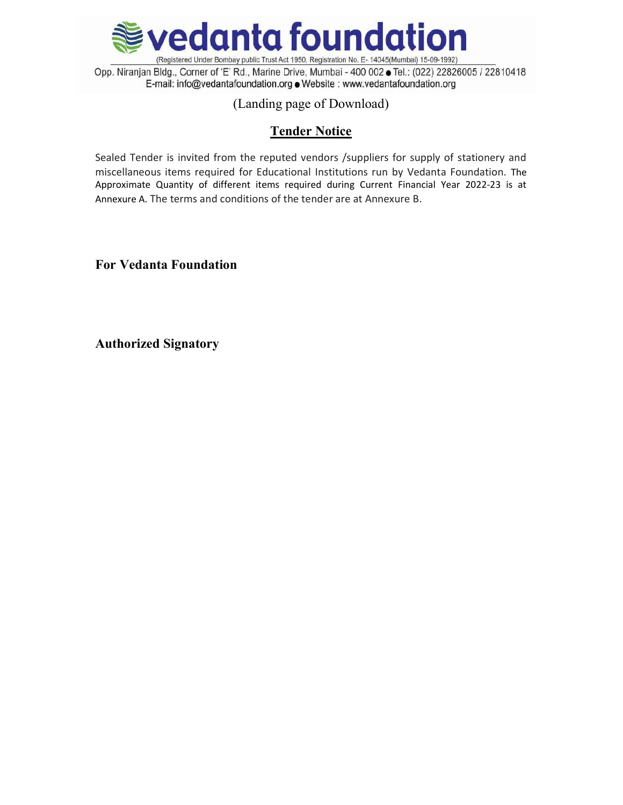

Opp. Niranjan Bldg., Corner of 'E' Rd., Marine Drive, Mumbai - 400 002 . Tel.: (022) 22826005 / 22810418 E-mail: info@vedantafoundation.org . Website : www.vedantafoundation.org

# (Landing page of Download)

# Tender Notice

Sealed Tender is invited from the reputed vendors /suppliers for supply of stationery and miscellaneous items required for Educational Institutions run by Vedanta Foundation. The Approximate Quantity of different items required during Current Financial Year 2022-23 is at Annexure A. The terms and conditions of the tender are at Annexure B.

For Vedanta Foundation

Authorized Signatory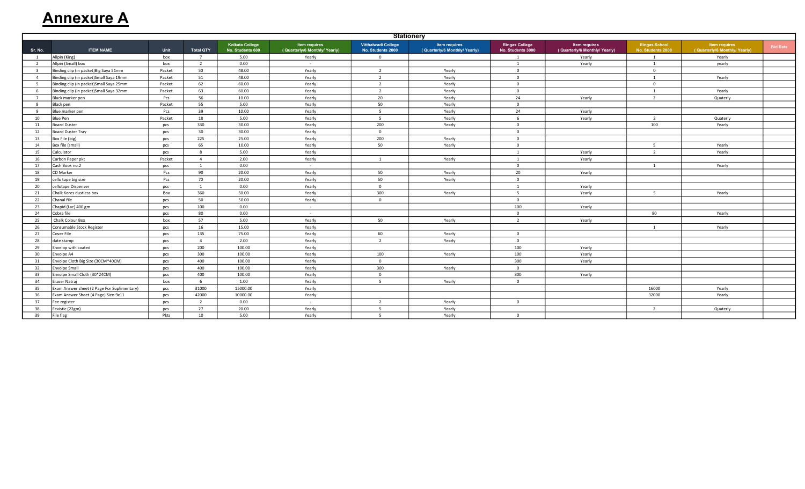# **Annexure A**

|                | <b>Stationery</b>                           |        |                  |                                            |                                                      |                                                 |                                                      |                                            |                                               |                                           |                                               |                 |
|----------------|---------------------------------------------|--------|------------------|--------------------------------------------|------------------------------------------------------|-------------------------------------------------|------------------------------------------------------|--------------------------------------------|-----------------------------------------------|-------------------------------------------|-----------------------------------------------|-----------------|
| Sr. No.        | <b>ITEM NAME</b>                            | Unit   | <b>Total QTY</b> | <b>Kolkata College</b><br>No. Students 600 | <b>Item requires</b><br>(Quarterly/6 Monthly/Yearly) | <b>Vitthalwadi College</b><br>No. Students 2000 | <b>Item requires</b><br>(Quarterly/6 Monthly/Yearly) | <b>Ringas College</b><br>No. Students 3000 | Item requires<br>(Quarterly/6 Monthly/Yearly) | <b>Ringas School</b><br>No. Students 2000 | Item requires<br>(Quarterly/6 Monthly/Yearly) | <b>Bid Rate</b> |
| $\mathbf{1}$   | Allpin (King)                               | box    | $\overline{7}$   | 5.00                                       | Yearly                                               | $\overline{0}$                                  |                                                      |                                            | Yearly                                        | $\overline{1}$                            | Yearly                                        |                 |
| $\overline{2}$ | Allpin (Small) box                          | box    | $\overline{2}$   | 0.00                                       |                                                      |                                                 |                                                      | $\overline{1}$                             | Yearly                                        | $\overline{1}$                            | yearly                                        |                 |
| $\overline{3}$ | Binding clip (in packet) Big Saya 51mm      | Packet | 50               | 48.00                                      | Yearly                                               | $\overline{2}$                                  | Yearly                                               | $\Omega$                                   |                                               | $\Omega$                                  |                                               |                 |
| $\overline{4}$ | Binding clip (in packet) Small Saya 19mm    | Packet | 51               | 48.00                                      | Yearly                                               | $\overline{2}$                                  | Yearly                                               | $\mathbf 0$                                |                                               | $\overline{1}$                            | Yearly                                        |                 |
| 5              | Binding clip (in packet) Small Saya 25mm    | Packet | 62               | 60.00                                      | Yearly                                               | $\overline{2}$                                  | Yearly                                               | $\mathbf 0$                                |                                               | $\mathbf 0$                               |                                               |                 |
| 6              | Binding clip (in packet) Small Saya 32mm    | Packet | 63               | 60.00                                      | Yearly                                               | $\overline{2}$                                  | Yearly                                               | $\Omega$                                   |                                               | $\overline{1}$                            | Yearly                                        |                 |
| $\overline{7}$ | Black marker pen                            | Pcs    | 56               | 10.00                                      | Yearly                                               | 20                                              | Yearly                                               | 24                                         | Yearly                                        | $\overline{2}$                            | Quaterly                                      |                 |
| 8              | Black pen                                   | Packet | 55               | 5.00                                       | Yearly                                               | 50                                              | Yearly                                               | $\Omega$                                   |                                               |                                           |                                               |                 |
| 9              | Blue marker pen                             | Pcs    | 39               | 10.00                                      | Yearly                                               | 5                                               | Yearly                                               | 24                                         | Yearly                                        |                                           |                                               |                 |
| 10             | <b>Blue Pen</b>                             | Packet | 18               | 5.00                                       | Yearly                                               | -5                                              | Yearly                                               | 6                                          | Yearly                                        | $\overline{2}$                            | Quaterly                                      |                 |
| 11             | <b>Board Duster</b>                         | pcs    | 330              | 30.00                                      | Yearly                                               | 200                                             | Yearly                                               | $\Omega$                                   |                                               | 100                                       | Yearly                                        |                 |
| 12             | <b>Board Duster Tray</b>                    | pcs    | 30               | 30.00                                      | Yearly                                               | $\overline{0}$                                  |                                                      | $\mathbf 0$                                |                                               |                                           |                                               |                 |
| 13             | Box File (big)                              | pcs    | 225              | 25.00                                      | Yearly                                               | 200                                             | Yearly                                               | $\mathbf{0}$                               |                                               |                                           |                                               |                 |
| 14             | Box file (small)                            | pcs    | 65               | 10.00                                      | Yearly                                               | 50                                              | Yearly                                               | $\mathbf 0$                                |                                               | 5                                         | Yearly                                        |                 |
| 15             | Calculator                                  | pcs    | 8                | 5.00                                       | Yearly                                               |                                                 |                                                      | $\overline{1}$                             | Yearly                                        | $\overline{2}$                            | Yearly                                        |                 |
| 16             | Carbon Paper pkt                            | Packet | $\overline{4}$   | 2.00                                       | Yearly                                               | 1                                               | Yearly                                               | $\overline{1}$                             | Yearly                                        |                                           |                                               |                 |
| 17             | Cash Book no.2                              | pcs    | $\mathbf{1}$     | 0.00                                       | $\sim$ $-$                                           |                                                 |                                                      | $\Omega$                                   |                                               | $\overline{1}$                            | Yearly                                        |                 |
| 18             | CD Marker                                   | Pcs    | 90               | 20.00                                      | Yearly                                               | 50                                              | Yearly                                               | 20                                         | Yearly                                        |                                           |                                               |                 |
| 19             | cello tape big size                         | Pcs    | 70               | 20.00                                      | Yearly                                               | 50                                              | Yearly                                               | $\mathbf{0}$                               |                                               |                                           |                                               |                 |
| 20             | cellotape Dispenser                         | pcs    | $\overline{1}$   | 0.00                                       | Yearly                                               | $\overline{0}$                                  |                                                      | $\overline{1}$                             | Yearly                                        |                                           |                                               |                 |
| 21             | Chalk Kores dustless box                    | Box    | 360              | 50.00                                      | Yearly                                               | 300                                             | Yearly                                               | 5                                          | Yearly                                        | 5                                         | Yearly                                        |                 |
| 22             | Chanal file                                 | pcs    | 50               | 50.00                                      | Yearly                                               | $\overline{0}$                                  |                                                      | $\mathbf{0}$                               |                                               |                                           |                                               |                 |
| 23             | Chapid (Lac) 400 gm                         | pcs    | 100              | 0.00                                       | $\sim$                                               |                                                 |                                                      | 100                                        | Yearly                                        |                                           |                                               |                 |
| 24             | Cobra file                                  | pcs    | 80               | 0.00                                       | $\sim$                                               |                                                 |                                                      | $\Omega$                                   |                                               | 80                                        | Yearly                                        |                 |
| 25             | Chalk Colour Box                            | box    | 57               | 5.00                                       | Yearly                                               | 50                                              | Yearly                                               | $\overline{2}$                             | Yearly                                        |                                           |                                               |                 |
| 26             | Consumable Stock Register                   | pcs    | 16               | 15.00                                      | Yearly                                               |                                                 |                                                      |                                            |                                               | $\overline{1}$                            | Yearly                                        |                 |
| 27             | Cover File                                  | pcs    | 135              | 75.00                                      | Yearly                                               | 60                                              | Yearly                                               | $\Omega$                                   |                                               |                                           |                                               |                 |
| 28             | date stamp                                  | pcs    | $\overline{4}$   | 2.00                                       | Yearly                                               | $\overline{2}$                                  | Yearly                                               | $\mathbf{0}$                               |                                               |                                           |                                               |                 |
| 29             | Envelop with coated                         | pcs    | 200              | 100.00                                     | Yearly                                               |                                                 |                                                      | 100                                        | Yearly                                        |                                           |                                               |                 |
| 30             | Envolpe A4                                  | pcs    | 300              | 100.00                                     | Yearly                                               | 100                                             | Yearly                                               | 100                                        | Yearly                                        |                                           |                                               |                 |
| 31             | Envolpe Cloth Big Size (30CM*40CM)          | pcs    | 400              | 100.00                                     | Yearly                                               | $\overline{0}$                                  |                                                      | 300                                        | Yearly                                        |                                           |                                               |                 |
| 32             | <b>Envolpe Small</b>                        | pcs    | 400              | 100.00                                     | Yearly                                               | 300                                             | Yearly                                               | $\Omega$                                   |                                               |                                           |                                               |                 |
| 33             | Envolpe Small Cloth (30*24CM)               | pcs    | 400              | 100.00                                     | Yearly                                               | $\Omega$                                        |                                                      | 300                                        | Yearly                                        |                                           |                                               |                 |
| 34             | Eraser Natraj                               | box    | 6                | 1.00                                       | Yearly                                               | 5                                               | Yearly                                               | $\mathbf{0}$                               |                                               |                                           |                                               |                 |
| 35             | Exam Answer sheet (2 Page For Suplimentary) | pcs    | 31000            | 15000.00                                   | Yearly                                               |                                                 |                                                      |                                            |                                               | 16000                                     | Yearly                                        |                 |
| 36             | Exam Answer Sheet (4 Page) Size-9x11        | pcs    | 42000            | 10000.00                                   | Yearly                                               |                                                 |                                                      |                                            |                                               | 32000                                     | Yearly                                        |                 |
| 37             | Fee register                                | pcs    | $\overline{2}$   | 0.00                                       | $\sim$ $-$                                           | $\overline{2}$                                  | Yearly                                               | $\mathbf{0}$                               |                                               |                                           |                                               |                 |
| 38             | Fevistic (22gm)                             | pcs    | 27               | 20.00                                      | Yearly                                               | 5                                               | Yearly                                               |                                            |                                               | $\overline{2}$                            | Quaterly                                      |                 |
| 39             | File flag                                   | Pkts   | 10               | 5.00                                       | Yearly                                               | -5                                              | Yearly                                               | $\Omega$                                   |                                               |                                           |                                               |                 |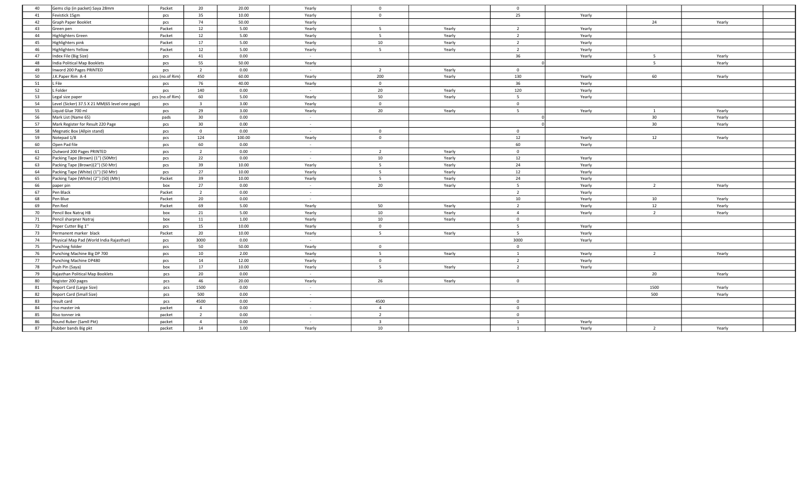| 40 | Gems clip (in packet) Saya 28mm                | Packet          | 20                      | 20.00  | Yearly          | $\overline{0}$          |        | $\overline{0}$ |        |                 |        |  |
|----|------------------------------------------------|-----------------|-------------------------|--------|-----------------|-------------------------|--------|----------------|--------|-----------------|--------|--|
| 41 | Fevistick 15gm                                 | pcs             | 35                      | 10.00  | Yearly          | $\overline{0}$          |        | 25             | Yearly |                 |        |  |
| 42 | Graph Paper Booklet                            | pcs             | 74                      | 50.00  | Yearly          |                         |        |                |        | 24              | Yearly |  |
| 43 | Green pen                                      | Packet          | 12                      | 5.00   | Yearly          | 5                       | Yearly | $\overline{2}$ | Yearly |                 |        |  |
| 44 | Highlighters Green                             | Packet          | 12                      | 5.00   | Yearly          | 5                       | Yearly | $\overline{2}$ | Yearly |                 |        |  |
| 45 | Highlighters pink                              | Packet          | 17                      | 5.00   | Yearly          | 10                      | Yearly | $\overline{2}$ | Yearly |                 |        |  |
| 46 | <b>Highlighters Yellow</b>                     | Packet          | 12                      | 5.00   | Yearly          | 5                       | Yearly | $\overline{2}$ | Yearly |                 |        |  |
| 47 | Index File (Big Size)                          | pcs             | 41                      | 0.00   | $\sim$          |                         |        | 36             | Yearly | 5               | Yearly |  |
| 48 | India Political Map Booklets                   | pcs             | 55                      | 50.00  | Yearly          |                         |        |                |        | 5               | Yearly |  |
| 49 | Inword 200 Pages PRINTED                       | pcs             | $\overline{2}$          | 0.00   | $\sim$ $-$      | $\overline{2}$          | Yearly | $\mathbf 0$    |        |                 |        |  |
| 50 | J.K.Paper Rim A-4                              | pcs (no.of Rim) | 450                     | 60.00  | Yearly          | 200                     | Yearly | 130            | Yearly | 60              | Yearly |  |
| 51 | L File                                         | pcs             | 76                      | 40.00  | Yearly          | $\overline{0}$          |        | 36             | Yearly |                 |        |  |
| 52 | L Folder                                       | pcs             | 140                     | 0.00   | $\sim 10^{-1}$  | 20                      | Yearly | 120            | Yearly |                 |        |  |
| 53 | Legal size paper                               | pcs (no.of Rim) | 60                      | 5.00   | Yearly          | 50                      | Yearly | 5              | Yearly |                 |        |  |
| 54 | Level (Sicker) 37.5 X 21 MM(65 level one page) | pcs             | $\overline{\mathbf{3}}$ | 3.00   | Yearly          | $\overline{0}$          |        | $\overline{0}$ |        |                 |        |  |
| 55 | Liquid Glue 700 ml                             | pcs             | 29                      | 3.00   | Yearly          | 20                      | Yearly | 5              | Yearly | 1               | Yearly |  |
| 56 | Mark List (Name 65)                            | pads            | 30                      | 0.00   | $\sim 10^{-1}$  |                         |        |                |        | 30              | Yearly |  |
| 57 | Mark Register for Result 220 Page              | pcs             | 30                      | 0.00   | $\sim 10^{-11}$ |                         |        |                |        | 30 <sub>o</sub> | Yearly |  |
| 58 | Megnatic Box (Allpin stand)                    | pcs             | $\overline{0}$          | 0.00   | $\sim 10^{-1}$  | $\mathbf 0$             |        | $\mathbf{0}$   |        |                 |        |  |
| 59 | Notepad 1/8                                    | pcs             | 124                     | 100.00 | Yearly          | $\mathbf 0$             |        | 12             | Yearly | 12              | Yearly |  |
| 60 | Open Pad file                                  | pcs             | 60                      | 0.00   | $\sim$          |                         |        | 60             | Yearly |                 |        |  |
| 61 | Outword 200 Pages PRINTED                      | pcs             | $\overline{2}$          | 0.00   | $\sim$ $-$      | $\overline{2}$          | Yearly | $\mathbf 0$    |        |                 |        |  |
| 62 | Packing Tape (Brown) (1") (50Mtr)              | pcs             | 22                      | 0.00   | $\sim 10^{-1}$  | 10                      | Yearly | 12             | Yearly |                 |        |  |
| 63 | Packing Tape (Brown)(2") (50 Mtr)              | pcs             | 39                      | 10.00  | Yearly          | 5 <sup>5</sup>          | Yearly | 24             | Yearly |                 |        |  |
| 64 | Packing Tape (White) (1") (50 Mtr)             | pcs             | 27                      | 10.00  | Yearly          | $5^{\circ}$             | Yearly | 12             | Yearly |                 |        |  |
| 65 | Packing Tape (White) (2") (50) (Mtr)           | Packet          | 39                      | 10.00  | Yearly          | 5 <sup>5</sup>          | Yearly | 24             | Yearly |                 |        |  |
| 66 | paper pin                                      | box             | 27                      | 0.00   | $\sim$          | 20                      | Yearly | 5 <sup>5</sup> | Yearly | $\overline{2}$  | Yearly |  |
| 67 | Pen Black                                      | Packet          | $\overline{2}$          | 0.00   | $\sim$          |                         |        | $\overline{2}$ | Yearly |                 |        |  |
| 68 | Pen Blue                                       | Packet          | 20                      | 0.00   | $\sim 10^{-1}$  |                         |        | 10             | Yearly | 10              | Yearly |  |
| 69 | Pen Red                                        | Packet          | 69                      | 5.00   | Yearly          | 50                      | Yearly | $\overline{2}$ | Yearly | 12              | Yearly |  |
| 70 | Pencil Box Natraj HB                           | box             | 21                      | 5.00   | Yearly          | 10                      | Yearly | $\overline{4}$ | Yearly | $\overline{2}$  | Yearly |  |
| 71 | Pencil sharpner Natraj                         | box             | 11                      | 1.00   | Yearly          | 10                      | Yearly | $\mathbf 0$    |        |                 |        |  |
| 72 | Peper Cutter Big 1"                            | pcs             | 15                      | 10.00  | Yearly          | $\overline{0}$          |        | 5              | Yearly |                 |        |  |
| 73 | Permanent marker black                         | Packet          | 20                      | 10.00  | Yearly          | 5                       | Yearly | 5 <sup>5</sup> | Yearly |                 |        |  |
| 74 | Physical Map Pad (World India Rajasthan)       | pcs             | 3000                    | 0.00   | $\sim 10^{-11}$ |                         |        | 3000           | Yearly |                 |        |  |
| 75 | Punching folder                                | pcs             | 50                      | 50.00  | Yearly          | $\overline{0}$          |        | $\overline{0}$ |        |                 |        |  |
| 76 | Punching Machine Big DP 700                    | pcs             | 10                      | 2.00   | Yearly          | $5\overline{)}$         | Yearly | $\mathbf{1}$   | Yearly | $\overline{2}$  | Yearly |  |
| 77 | Punching Machine DP480                         | pcs             | 14                      | 12.00  | Yearly          | $\overline{0}$          |        | $\overline{2}$ | Yearly |                 |        |  |
| 78 | Push Pin (Saya)                                | box             | 17                      | 10.00  | Yearly          | 5                       | Yearly | $\overline{2}$ | Yearly |                 |        |  |
| 79 | Rajasthan Political Map Booklets               | pcs             | 20                      | 0.00   | $\sim 10^{-11}$ |                         |        |                |        | 20              | Yearly |  |
| 80 | Register 200 pages                             | pcs             | 46                      | 20.00  | Yearly          | 26                      | Yearly | $\overline{0}$ |        |                 |        |  |
| 81 | Report Card (Large Size)                       | pcs             | 1500                    | 0.00   | $\sim 10^{-1}$  |                         |        |                |        | 1500            | Yearly |  |
| 82 | Report Card (Small Size)                       | pcs             | 500                     | 0.00   | $\sim$          |                         |        |                |        | 500             | Yearly |  |
| 83 | result card                                    | pcs             | 4500                    | 0.00   | $\sim 10^{-11}$ | 4500                    |        | $\mathbf{0}$   |        |                 |        |  |
| 84 | riso master ink                                | packet          | $\overline{4}$          | 0.00   | $\sim$          | $\overline{4}$          |        | $\mathbf{0}$   |        |                 |        |  |
| 85 | Riso tonner ink                                | packet          | $\overline{2}$          | 0.00   | $\sim 10^{-1}$  | $\overline{2}$          |        | $\mathbf 0$    |        |                 |        |  |
| 86 | Round Ruber (Samll Pkt)                        | packet          | $\overline{4}$          | 0.00   | $\sim$          | $\overline{\mathbf{3}}$ |        | $\overline{1}$ | Yearly |                 |        |  |
| 87 | Rubber bands Big pkt                           | packet          | 14                      | 1.00   | Yearly          | 10                      |        | $\overline{1}$ | Yearly | $\overline{2}$  | Yearly |  |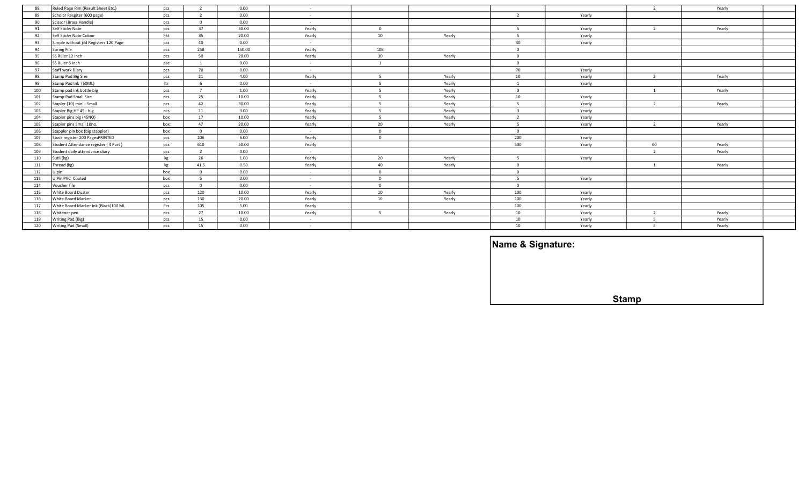| Ruled Page Rim (Result Sheet Etc.)<br>88     | pcs | 2                        | 0.00   | <b>Service</b>  |                |        |                |        | $\overline{2}$ | Yearly |  |
|----------------------------------------------|-----|--------------------------|--------|-----------------|----------------|--------|----------------|--------|----------------|--------|--|
| Scholar Resgiter (600 page)<br>89            | pcs | $\overline{\phantom{a}}$ | 0.00   | $\sim$          |                |        | $\overline{2}$ | Yearly |                |        |  |
| 90<br>Scissor (Brass Handle)                 | pcs | $\Omega$                 | 0.00   | $\sim$          |                |        |                |        |                |        |  |
| Self Sticky Note<br>91                       | pcs | 37                       | 30.00  | Yearly          | $\Omega$       |        |                | Yearly | $\overline{2}$ | Yearly |  |
| Self Sticky Note Colour<br>92                | Pkt | 35                       | 20.00  | Yearly          | 10             | Yearly | 5              | Yearly |                |        |  |
| Simple without jild Registers 120 Page<br>93 | pcs | 40                       | 0.00   | $\sim$ $-$      |                |        | 40             | Yearly |                |        |  |
| 94<br>Spring File                            | pcs | 258                      | 150.00 | Yearly          | 108            |        | $\Omega$       |        |                |        |  |
| SS Ruler 12 Inch<br>95                       | pcs | 50                       | 20.00  | Yearly          | 30             | Yearly | $\Omega$       |        |                |        |  |
| SS Ruler 6 Inch<br>96                        | psc | 1                        | 0.00   | <b>Contract</b> | $\mathbf{1}$   |        | $\Omega$       |        |                |        |  |
| Staff work Diary<br>97                       | pcs | 70                       | 0.00   | $\sim$          |                |        | 70             | Yearly |                |        |  |
| Stamp Pad Big Size<br>98                     | pcs | 21                       | 4.00   | Yearly          | 5              | Yearly | 10             | Yearly | $\overline{2}$ | Tearly |  |
| 99<br>Stamp Pad Ink (50ML)                   | ltr |                          | 0.00   | $\sim$ $-$      | -5             | Yearly |                | Yearly |                |        |  |
| Stamp pad ink bottle big<br>100              | pcs | $\overline{7}$           | 1.00   | Yearly          | 5              | Yearly | $\overline{0}$ |        | 1              | Yearly |  |
| Stamp Pad Small Size<br>101                  | pcs | 25                       | 10.00  | Yearly          | -5             | Yearly | 10             | Yearly |                |        |  |
| 102<br>Stapler (10) mini - Small             | pcs | 42                       | 30.00  | Yearly          | 5              | Yearly | -5             | Yearly | $\overline{2}$ | Yearly |  |
| 103<br>Stapler Big HP 45 - big               | pcs | 11                       | 3.00   | Yearly          | $\overline{5}$ | Yearly |                | Yearly |                |        |  |
| Stapler pins big (45NO)<br>104               | box | 17                       | 10.00  | Yearly          | -5             | Yearly | $\overline{2}$ | Yearly |                |        |  |
| Stapler pins Small 10no.<br>105              | box | 47                       | 20.00  | Yearly          | 20             | Yearly | - 5            | Yearly | 2              | Yearly |  |
| 106<br>Stappler pin box (big stappler)       | box | $\Omega$                 | 0.00   | $\sim$          | $\mathbf{0}$   |        | $\Omega$       |        |                |        |  |
| Stock register 200 PagesPRINTED<br>107       | pcs | 206                      | 6.00   | Yearly          | $\overline{0}$ |        | 200            | Yearly |                |        |  |
| 108<br>Student Attendance register (4 Part)  | pcs | 610                      | 50.00  | Yearly          |                |        | 500            | Yearly | 60             | Yearly |  |
| 109<br>Student daily attendance diary        | pcs | 2                        | 0.00   | $\sim$ $-$      |                |        |                |        | $\overline{2}$ | Yearly |  |
| Sutli (kg)<br>110                            | kg  | 26                       | 1.00   | Yearly          | 20             | Yearly | 5              | Yearly |                |        |  |
| Thread (kg)<br>111                           | kg  | 41.5                     | 0.50   | Yearly          | 40             | Yearly | $\overline{0}$ |        |                | Yearly |  |
| 112<br>U pin                                 | box |                          | 0.00   | $\sim 100$      | $\overline{0}$ |        | $\Omega$       |        |                |        |  |
| U Pin PVC Coated<br>113                      | box | - 5                      | 0.00   | $\sim$ $-$      | $\overline{0}$ |        | - 5            | Yearly |                |        |  |
| Voucher file<br>114                          | pcs | $\Omega$                 | 0.00   | $\sim$          | $\overline{0}$ |        | $\Omega$       |        |                |        |  |
| White Board Duster<br>115                    | pcs | 120                      | 10.00  | Yearly          | 10             | Yearly | 100            | Yearly |                |        |  |
| White Board Marker<br>116                    | pcs | 130                      | 20.00  | Yearly          | 10             | Yearly | 100            | Yearly |                |        |  |
| White Board Marker Ink (Black)100 ML<br>117  | Pcs | 105                      | 5.00   | Yearly          |                |        | 100            | Yearly |                |        |  |
| 118<br>Whitener pen                          | pcs | 27                       | 10.00  | Yearly          | - 5            | Yearly | 10             | Yearly | $\overline{2}$ | Yearly |  |
| Writing Pad (Big)<br>119                     | pcs | 15                       | 0.00   | $\sim$ $-$      |                |        | 10             | Yearly | -5             | Yearly |  |
| 120<br>Writing Pad (Small)                   | pcs | 15                       | 0.00   | $\sim$          |                |        | 10             | Yearly | -5             | Yearly |  |

| Name & Signature: |              |  |
|-------------------|--------------|--|
|                   |              |  |
|                   |              |  |
|                   |              |  |
|                   | <b>Stamp</b> |  |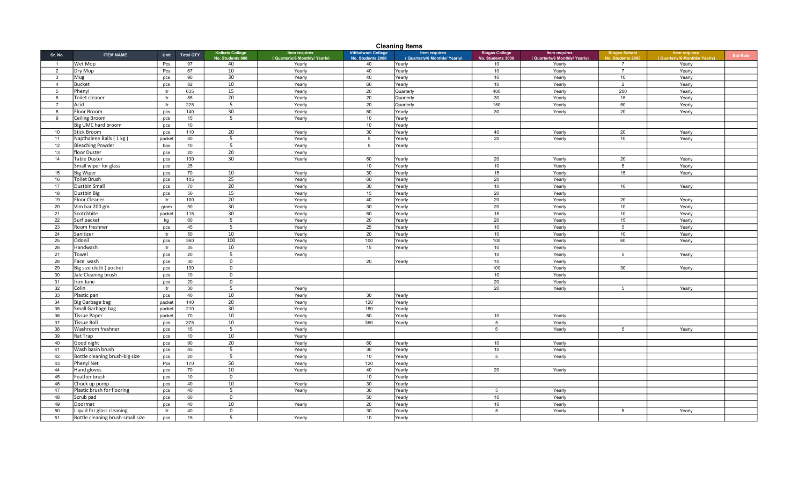|                         | <b>Cleaning Items</b>                                         |            |                  |                                            |                                                      |                                                 |                                               |                                            |                                                      |                                          |                                                       |                 |  |
|-------------------------|---------------------------------------------------------------|------------|------------------|--------------------------------------------|------------------------------------------------------|-------------------------------------------------|-----------------------------------------------|--------------------------------------------|------------------------------------------------------|------------------------------------------|-------------------------------------------------------|-----------------|--|
| Sr. No.                 | <b>ITEM NAME</b>                                              | Unit       | <b>Total QTY</b> | <b>Kolkata College</b><br>No. Students 600 | <b>Item requires</b><br>(Quarterly/6 Monthly/Yearly) | <b>Vitthalwadi College</b><br>No. Students 2000 | Item requires<br>(Quarterly/6 Monthly/Yearly) | <b>Ringas College</b><br>No. Students 3000 | <b>Item requires</b><br>(Quarterly/6 Monthly/Yearly) | <b>Ringas School</b><br>No. Students 200 | <b>Item requires</b><br>(Quarterly/6 Monthly/ Yearly) | <b>Bid Rate</b> |  |
| $\overline{1}$          | Wet Mop                                                       | Pcs        | 97               | 40                                         | Yearly                                               | 40                                              | Yearly                                        | 10                                         | Yearly                                               | -7                                       | Yearly                                                |                 |  |
| $\overline{2}$          | Dry Mop                                                       | Pcs        | 67               | 10                                         | Yearly                                               | 40                                              | Yearly                                        | 10                                         | Yearly                                               | $\overline{7}$                           | Yearly                                                |                 |  |
| $\overline{\mathbf{3}}$ | Mug                                                           | pcs        | 90               | 30                                         | Yearly                                               | 40                                              | Yearly                                        | 10                                         | Yearly                                               | 10                                       | Yearly                                                |                 |  |
| $\overline{4}$          | <b>Bucket</b>                                                 | pcs        | 82               | 10                                         | Yearly                                               | 60                                              | Yearly                                        | 10                                         | Yearly                                               | 2                                        | Yearly                                                |                 |  |
| -5                      | Phenvl                                                        | ltr        | 635              | 15                                         | Yearly                                               | 20                                              | Quarterly                                     | 400                                        | Yearly                                               | 200                                      | Yearly                                                |                 |  |
| 6                       | Toilet cleaner                                                | ltr        | 85               | 20                                         | Yearly                                               | 20                                              | Quarterly                                     | 30                                         | Yearly                                               | 15                                       | Yearly                                                |                 |  |
| $\overline{7}$          | Acid                                                          | ltr        | 225              | 5                                          | Yearly                                               | 20                                              | Quarterly                                     | 150                                        | Yearly                                               | 50                                       | Yearly                                                |                 |  |
| 8                       | Floor Broom                                                   | pcs        | 140              | 30                                         | Yearly                                               | 60                                              | Yearly                                        | 30                                         | Yearly                                               | 20                                       | Yearly                                                |                 |  |
| 9                       | Ceiling Broom                                                 | pcs        | 15               | 5                                          | Yearly                                               | 10                                              | Yearly                                        |                                            |                                                      |                                          |                                                       |                 |  |
|                         | Big UMC hard broom                                            | pcs        | 10               |                                            |                                                      | 10                                              | Yearly                                        |                                            |                                                      |                                          |                                                       |                 |  |
| 10                      | <b>Stick Broom</b>                                            | pcs        | 110              | 20                                         | Yearly                                               | 30                                              | Yearly                                        | 40                                         | Yearly                                               | 20                                       | Yearly                                                |                 |  |
| 11                      | Napthalene Balls (1 kg)                                       | packet     | 40               | 5                                          | Yearly                                               | 5                                               | Yearly                                        | 20                                         | Yearly                                               | 10                                       | Yearly                                                |                 |  |
| 12                      | <b>Bleaching Powder</b>                                       | box        | 10               | 5                                          | Yearly                                               | $5\overline{5}$                                 | Yearly                                        |                                            |                                                      |                                          |                                                       |                 |  |
| 13                      | floor Duster                                                  | pcs        | 20               | 20                                         | Yearly                                               |                                                 |                                               |                                            |                                                      |                                          |                                                       |                 |  |
| 14                      | <b>Table Duster</b>                                           | pcs        | 130              | 30                                         | Yearly                                               | 60                                              | Yearly                                        | 20                                         | Yearly                                               | 20                                       | Yearly                                                |                 |  |
|                         | Small wiper for glass                                         | pcs        | 25               |                                            |                                                      | 10                                              | Yearly                                        | 10                                         | Yearly                                               | $5^{\circ}$                              | Yearly                                                |                 |  |
| 15                      | <b>Big Wiper</b>                                              | pcs        | 70               | 10                                         | Yearly                                               | 30                                              | Yearly                                        | 15                                         | Yearly                                               | 15                                       | Yearly                                                |                 |  |
| 16                      | Toilet Brush                                                  | pcs        | 105              | $\overline{25}$                            | Yearly                                               | 60                                              | Yearly                                        | 20                                         | Yearly                                               |                                          |                                                       |                 |  |
| 17                      | Dustbin Small                                                 | pcs        | 70               | 20                                         | Yearly                                               | 30                                              | Yearly                                        | 10                                         | Yearly                                               | 10                                       | Yearly                                                |                 |  |
| 18                      | Dustbin Big                                                   | pcs        | 50               | 15                                         | Yearly                                               | 15                                              | Yearly                                        | 20                                         | Yearly                                               |                                          |                                                       |                 |  |
| 19                      | <b>Floor Cleaner</b>                                          | ltr        | 100              | 20                                         | Yearly                                               | 40                                              | Yearly                                        | 20                                         | Yearly                                               | 20                                       | Yearly                                                |                 |  |
| 20                      | Vim bar 200 gm                                                | gram       | 90               | 30                                         | Yearly                                               | 30                                              | Yearly                                        | 20                                         | Yearly                                               | 10                                       | Yearly                                                |                 |  |
| 21                      | Scotchbite                                                    | packet     | 115              | 30 <sup>°</sup>                            | Yearly                                               | 60                                              | Yearly                                        | 15                                         | Yearly                                               | 10                                       | Yearly                                                |                 |  |
| 22                      | Surf packet                                                   | kg         | 60               | 5                                          | Yearly                                               | 20                                              | Yearly                                        | 20                                         | Yearly                                               | 15                                       | Yearly                                                |                 |  |
| 23                      | Room freshner                                                 | pcs        | 45               | $\overline{5}$                             | Yearly                                               | 25                                              | Yearly                                        | 10                                         | Yearly                                               | $\overline{5}$                           | Yearly                                                |                 |  |
| 24                      | Sanitizer                                                     | ltr        | 50               | 10                                         | Yearly                                               | 20                                              | Yearly                                        | 10                                         | Yearly                                               | 10                                       | Yearly                                                |                 |  |
| 25                      | Odonil                                                        | pcs        | 360              | 100                                        | Yearly                                               | 100                                             | Yearly                                        | 100                                        | Yearly                                               | 60                                       | Yearly                                                |                 |  |
| 26                      | Handwash                                                      | Itr        | 35               | 10                                         | Yearly                                               | 15                                              | Yearly                                        | 10                                         | Yearly                                               |                                          |                                                       |                 |  |
| 27                      | Towel                                                         | pcs        | 20               | 5                                          | Yearly                                               |                                                 |                                               | 10                                         | Yearly                                               | 5                                        | Yearly                                                |                 |  |
| 28                      | Face wash                                                     | pcs        | 30               | $\mathbf 0$                                |                                                      | 20                                              | Yearly                                        | 10                                         | Yearly                                               |                                          |                                                       |                 |  |
| 29                      | Big size cloth (poche)                                        | pcs        | 130              | $\mathbf 0$                                |                                                      |                                                 |                                               | 100                                        | Yearly                                               | 30                                       | Yearly                                                |                 |  |
| 30                      | Jale Cleaning brush                                           | pcs        | 10               | $\mathbf 0$                                |                                                      |                                                 |                                               | 10                                         | Yearly                                               |                                          |                                                       |                 |  |
| 31                      | Iron June                                                     | pcs        | 20               | $\mathbf 0$                                |                                                      |                                                 |                                               | 20                                         | Yearly                                               |                                          |                                                       |                 |  |
| 32                      | Colin                                                         | ltr        | 30               | 5                                          | Yearly                                               |                                                 |                                               | 20                                         | Yearly                                               | 5                                        | Yearly                                                |                 |  |
| 33                      | Plastic pan                                                   | pcs        | 40               | 10                                         | Yearly                                               | 30                                              | Yearly                                        |                                            |                                                      |                                          |                                                       |                 |  |
| 34                      | Big Garbage bag                                               | packet     | 140              | 20                                         | Yearly                                               | 120                                             | Yearly                                        |                                            |                                                      |                                          |                                                       |                 |  |
| 35                      | Small Garbage bag                                             | packet     | 210              | 30                                         | Yearly                                               | 180                                             | Yearly                                        |                                            |                                                      |                                          |                                                       |                 |  |
| 36                      | <b>Tissue Paper</b>                                           | packet     | 70               | 10                                         | Yearly                                               | 50                                              | Yearly                                        | 10                                         | Yearly                                               |                                          |                                                       |                 |  |
| 37                      | Tissue Roll                                                   | pcs        | 375              | 10                                         | Yearly                                               | 360                                             | Yearly                                        | 5                                          | Yearly                                               |                                          |                                                       |                 |  |
| 38                      | Washroom freshner                                             | pcs        | 15               | -5                                         | Yearly                                               |                                                 |                                               | 5                                          | Yearly                                               | 5                                        | Yearly                                                |                 |  |
| 39                      | Rat Trap                                                      | pcs        | 10               | 10                                         | Yearly                                               |                                                 |                                               |                                            |                                                      |                                          |                                                       |                 |  |
| 40                      | Good night                                                    | pcs        | 90               | 20                                         | Yearly                                               | 60                                              | Yearly                                        | 10                                         | Yearly                                               |                                          |                                                       |                 |  |
| 41                      | Wash basin brush                                              | pcs        | 45               | 5                                          | Yearly                                               | 30                                              | Yearly                                        | 10                                         | Yearly                                               |                                          |                                                       |                 |  |
| 42                      | Bottle cleaning brush-big size                                | pcs        | 20               | 5                                          | Yearly                                               | 10                                              | Yearly                                        | 5                                          | Yearly                                               |                                          |                                                       |                 |  |
| 43                      | Phenyl Net                                                    | Pcs        | 170              | 50                                         | Yearly                                               | 120                                             | Yearly                                        |                                            |                                                      |                                          |                                                       |                 |  |
| 44                      | Hand gloves                                                   | pcs        | 70               | 10                                         | Yearly                                               | 40                                              | Yearly                                        | 20                                         | Yearly                                               |                                          |                                                       |                 |  |
| 45                      | Feather brush                                                 | pcs        | 10               | $\mathbf 0$<br>10                          |                                                      | 10<br>30                                        | Yearly                                        |                                            |                                                      |                                          |                                                       |                 |  |
| 46                      | Chock up pump                                                 | pcs        | 40<br>40         | $\overline{5}$                             | Yearly                                               | 30                                              | Yearly                                        |                                            |                                                      |                                          |                                                       |                 |  |
| 47<br>48                | Plastic brush for flooring<br>Scrub pad                       | pcs<br>pcs | 60               | $\mathbf 0$                                | Yearly                                               | 50                                              | Yearly<br>Yearly                              | 5<br>10                                    | Yearly<br>Yearly                                     |                                          |                                                       |                 |  |
| 49                      |                                                               |            | 40               | 10                                         |                                                      | 20                                              |                                               | 10                                         |                                                      |                                          |                                                       |                 |  |
| 50                      | Doormat                                                       | pcs<br>ltr | 40               | $\mathbf 0$                                | Yearly                                               | 30                                              | Yearly<br>Yearly                              | 5                                          | Yearly<br>Yearly                                     | $5^{\circ}$                              | Yearly                                                |                 |  |
| 51                      | Liquid for glass cleaning<br>Bottle cleaning brush-small size | pcs        | 15               | $\overline{5}$                             | Yearly                                               | 10                                              | Yearly                                        |                                            |                                                      |                                          |                                                       |                 |  |
|                         |                                                               |            |                  |                                            |                                                      |                                                 |                                               |                                            |                                                      |                                          |                                                       |                 |  |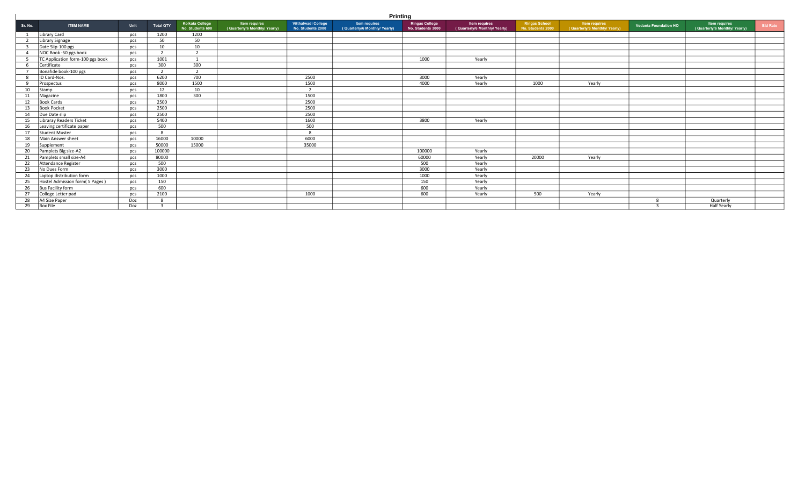|                | <b>Printing</b>                  |            |                  |                                     |                                                      |                                          |                                                      |                                            |                                                      |                                           |                                                      |                              |                                                      |                 |
|----------------|----------------------------------|------------|------------------|-------------------------------------|------------------------------------------------------|------------------------------------------|------------------------------------------------------|--------------------------------------------|------------------------------------------------------|-------------------------------------------|------------------------------------------------------|------------------------------|------------------------------------------------------|-----------------|
| Sr. No.        | <b>ITEM NAME</b>                 | Unit       | <b>Total QTY</b> | Kolkata College<br>No. Students 600 | <b>Item requires</b><br>(Quarterly/6 Monthly/Yearly) | Vitthalwadi College<br>No. Students 2000 | <b>Item requires</b><br>(Quarterly/6 Monthly/Yearly) | <b>Ringas College</b><br>No. Students 3000 | <b>Item requires</b><br>(Quarterly/6 Monthly/Yearly) | <b>Ringas School</b><br>No. Students 2000 | <b>Item requires</b><br>(Quarterly/6 Monthly/Yearly) | <b>Vedanta Foundation HO</b> | <b>Item requires</b><br>(Quarterly/6 Monthly/Yearly) | <b>Bid Rate</b> |
| 1              | Library Card                     | pcs        | 1200             | 1200                                |                                                      |                                          |                                                      |                                            |                                                      |                                           |                                                      |                              |                                                      |                 |
| $\overline{2}$ | Library Signage                  | pcs        | 50               | 50                                  |                                                      |                                          |                                                      |                                            |                                                      |                                           |                                                      |                              |                                                      |                 |
|                | Date Slip-100 pgs                | pcs        | 10               | 10                                  |                                                      |                                          |                                                      |                                            |                                                      |                                           |                                                      |                              |                                                      |                 |
| $\overline{4}$ | NOC Book -50 pgs book            | pcs        | $\overline{2}$   | 2                                   |                                                      |                                          |                                                      |                                            |                                                      |                                           |                                                      |                              |                                                      |                 |
|                | TC Application form-100 pgs book | pcs        | 1001             |                                     |                                                      |                                          |                                                      | 1000                                       | Yearly                                               |                                           |                                                      |                              |                                                      |                 |
| - 6            | Certificate                      | pcs        | 300              | 300                                 |                                                      |                                          |                                                      |                                            |                                                      |                                           |                                                      |                              |                                                      |                 |
|                | Bonafide book-100 pgs            | pcs        | $\overline{2}$   | $\mathcal{L}$                       |                                                      |                                          |                                                      |                                            |                                                      |                                           |                                                      |                              |                                                      |                 |
| -8             | ID Card-Nos.                     | pcs        | 6200             | 700                                 |                                                      | 2500                                     |                                                      | 3000                                       | Yearly                                               |                                           |                                                      |                              |                                                      |                 |
| 9              | Prospectus                       | pcs        | 8000             | 1500                                |                                                      | 1500                                     |                                                      | 4000                                       | Yearly                                               | 1000                                      | Yearly                                               |                              |                                                      |                 |
| 10             | Stamp                            | pcs        | 12               | 10                                  |                                                      | $\mathcal{L}$                            |                                                      |                                            |                                                      |                                           |                                                      |                              |                                                      |                 |
| 11             | Magazine                         | pcs        | 1800             | 300                                 |                                                      | 1500                                     |                                                      |                                            |                                                      |                                           |                                                      |                              |                                                      |                 |
| 12             | <b>Book Cards</b>                | pcs        | 2500             |                                     |                                                      | 2500                                     |                                                      |                                            |                                                      |                                           |                                                      |                              |                                                      |                 |
| 13             | <b>Book Pocket</b>               | pcs        | 2500             |                                     |                                                      | 2500                                     |                                                      |                                            |                                                      |                                           |                                                      |                              |                                                      |                 |
| 14             | Due Date slip                    | pcs        | 2500             |                                     |                                                      | 2500                                     |                                                      |                                            |                                                      |                                           |                                                      |                              |                                                      |                 |
| 15             | Libraray Readers Ticket          | pcs        | 5400             |                                     |                                                      | 1600                                     |                                                      | 3800                                       | Yearly                                               |                                           |                                                      |                              |                                                      |                 |
| 16             | Leaving certificate paper        | pcs        | 500              |                                     |                                                      | 500                                      |                                                      |                                            |                                                      |                                           |                                                      |                              |                                                      |                 |
| 17             | Student Muster                   | pcs        | 8                |                                     |                                                      | $\circ$                                  |                                                      |                                            |                                                      |                                           |                                                      |                              |                                                      |                 |
| 18             | Main Answer sheet                | pcs        | 16000            | 10000                               |                                                      | 6000                                     |                                                      |                                            |                                                      |                                           |                                                      |                              |                                                      |                 |
| 19             | Supplement                       | <b>DCS</b> | 50000            | 15000                               |                                                      | 35000                                    |                                                      |                                            |                                                      |                                           |                                                      |                              |                                                      |                 |
| 20             | Pamplets Big size-A2             | pcs        | 100000           |                                     |                                                      |                                          |                                                      | 100000                                     | Yearly                                               |                                           |                                                      |                              |                                                      |                 |
| 21             | Pamplets small size-A4           | pcs        | 80000            |                                     |                                                      |                                          |                                                      | 60000                                      | Yearly                                               | 20000                                     | Yearly                                               |                              |                                                      |                 |
| 22             | Attendance Register              | pcs        | 500              |                                     |                                                      |                                          |                                                      | 500                                        | Yearly                                               |                                           |                                                      |                              |                                                      |                 |
| 23             | No Dues Form                     | <b>DCS</b> | 3000             |                                     |                                                      |                                          |                                                      | 3000                                       | Yearly                                               |                                           |                                                      |                              |                                                      |                 |
| 24             | Laptop distribution form         | pcs        | 1000             |                                     |                                                      |                                          |                                                      | 1000                                       | Yearly                                               |                                           |                                                      |                              |                                                      |                 |
| 25             | Hostel Admission form(5 Pages)   | pcs        | 150              |                                     |                                                      |                                          |                                                      | 150                                        | Yearly                                               |                                           |                                                      |                              |                                                      |                 |
| 26             | Bus Facility form                | pcs        | 600              |                                     |                                                      |                                          |                                                      | 600                                        | Yearly                                               |                                           |                                                      |                              |                                                      |                 |
| 27             | College Letter pad               | pcs        | 2100             |                                     |                                                      | 1000                                     |                                                      | 600                                        | Yearly                                               | 500                                       | Yearly                                               |                              |                                                      |                 |
| 28             | A4 Size Paper                    | Doz        |                  |                                     |                                                      |                                          |                                                      |                                            |                                                      |                                           |                                                      |                              | Quarterly                                            |                 |
| 29             | <b>Box File</b>                  | Doz        |                  |                                     |                                                      |                                          |                                                      |                                            |                                                      |                                           |                                                      |                              | Half Yearly                                          |                 |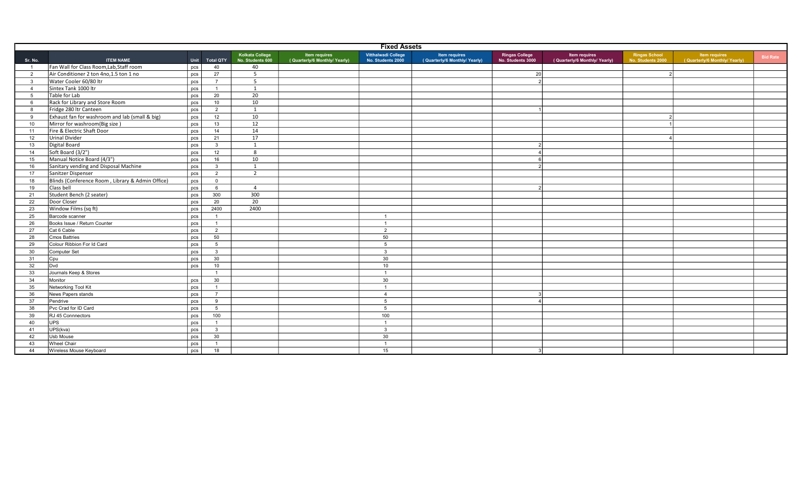|                | <b>Fixed Assets</b>                              |            |                  |                                     |                                                |                                          |                                                      |                                            |                                                       |                                           |                                                      |                 |
|----------------|--------------------------------------------------|------------|------------------|-------------------------------------|------------------------------------------------|------------------------------------------|------------------------------------------------------|--------------------------------------------|-------------------------------------------------------|-------------------------------------------|------------------------------------------------------|-----------------|
| Sr. No.        | <b>ITEM NAME</b>                                 | Unit       | <b>Total QTY</b> | Kolkata College<br>No. Students 600 | Item requires<br>(Quarterly/6 Monthly/ Yearly) | Vitthalwadi College<br>No. Students 2000 | <b>Item requires</b><br>(Quarterly/6 Monthly/Yearly) | <b>Ringas College</b><br>No. Students 3000 | <b>Item requires</b><br>(Quarterly/6 Monthly/ Yearly) | <b>Ringas School</b><br>No. Students 2000 | <b>Item requires</b><br>(Quarterly/6 Monthly/Yearly) | <b>Bid Rate</b> |
| $\overline{1}$ | Fan Wall for Class Room, Lab, Staff room         | pcs        | 40               | 40                                  |                                                |                                          |                                                      |                                            |                                                       |                                           |                                                      |                 |
| $\overline{2}$ | Air Conditioner 2 ton 4no, 1.5 ton 1 no          | pcs        | 27               | 5                                   |                                                |                                          |                                                      | 20                                         |                                                       |                                           |                                                      |                 |
| $\mathbf{3}$   | Water Cooler 60/80 ltr                           | pcs        | $\overline{7}$   | 5                                   |                                                |                                          |                                                      |                                            |                                                       |                                           |                                                      |                 |
| $\overline{4}$ | Sintex Tank 1000 ltr                             | <b>DCS</b> | $\overline{1}$   | 1                                   |                                                |                                          |                                                      |                                            |                                                       |                                           |                                                      |                 |
| 5              | Table for Lab                                    | pcs        | 20               | $\overline{20}$                     |                                                |                                          |                                                      |                                            |                                                       |                                           |                                                      |                 |
| 6              | Rack for Library and Store Room                  | pcs        | 10               | 10                                  |                                                |                                          |                                                      |                                            |                                                       |                                           |                                                      |                 |
| 8              | Fridge 280 ltr Canteen                           | pcs        | 2                | 1                                   |                                                |                                          |                                                      |                                            |                                                       |                                           |                                                      |                 |
| 9              | Exhaust fan for washroom and lab (small & big)   | pcs        | 12               | 10                                  |                                                |                                          |                                                      |                                            |                                                       |                                           |                                                      |                 |
| 10             | Mirror for washroom(Big size)                    | pcs        | 13               | 12                                  |                                                |                                          |                                                      |                                            |                                                       |                                           |                                                      |                 |
| 11             | Fire & Electric Shaft Door                       | pcs        | 14               | 14                                  |                                                |                                          |                                                      |                                            |                                                       |                                           |                                                      |                 |
| 12             | Urinal Divider                                   | pcs        | 21               | 17                                  |                                                |                                          |                                                      |                                            |                                                       |                                           |                                                      |                 |
| 13             | Digital Board                                    | pcs        | $\mathbf{3}$     | 1                                   |                                                |                                          |                                                      |                                            |                                                       |                                           |                                                      |                 |
| 14             | Soft Board (3/2")                                | pcs        | 12               | 8                                   |                                                |                                          |                                                      |                                            |                                                       |                                           |                                                      |                 |
| 15             | Manual Notice Board (4/3")                       | pcs        | 16               | 10                                  |                                                |                                          |                                                      |                                            |                                                       |                                           |                                                      |                 |
| 16             | Sanitary vending and Disposal Machine            | pcs        | $\mathbf{3}$     | 1                                   |                                                |                                          |                                                      |                                            |                                                       |                                           |                                                      |                 |
| 17             | Sanitzer Dispenser                               | pcs        | $\overline{2}$   | $\overline{2}$                      |                                                |                                          |                                                      |                                            |                                                       |                                           |                                                      |                 |
| 18             | Blinds (Conference Room, Library & Admin Office) | pcs        | $\mathbf{0}$     |                                     |                                                |                                          |                                                      |                                            |                                                       |                                           |                                                      |                 |
| 19             | Class bell                                       | pcs        | 6                | $\overline{4}$                      |                                                |                                          |                                                      |                                            |                                                       |                                           |                                                      |                 |
| 21             | Student Bench (2 seater)                         | pcs        | 300              | 300                                 |                                                |                                          |                                                      |                                            |                                                       |                                           |                                                      |                 |
| 22             | Door Closer                                      | pcs        | 20               | 20                                  |                                                |                                          |                                                      |                                            |                                                       |                                           |                                                      |                 |
| 23             | Window Films (sq ft)                             | pcs        | 2400             | 2400                                |                                                |                                          |                                                      |                                            |                                                       |                                           |                                                      |                 |
| 25             | Barcode scanner                                  | pcs        | $\overline{1}$   |                                     |                                                | $\overline{1}$                           |                                                      |                                            |                                                       |                                           |                                                      |                 |
| 26             | Books Issue / Return Counter                     | pcs        | $\overline{1}$   |                                     |                                                | $\overline{1}$                           |                                                      |                                            |                                                       |                                           |                                                      |                 |
| 27             | Cat 6 Cable                                      | pcs        | 2                |                                     |                                                | 2                                        |                                                      |                                            |                                                       |                                           |                                                      |                 |
| 28             | Cmos Battries                                    | pcs        | 50               |                                     |                                                | 50                                       |                                                      |                                            |                                                       |                                           |                                                      |                 |
| 29             | Colour Ribbion For Id Card                       | pcs        | 5                |                                     |                                                | 5                                        |                                                      |                                            |                                                       |                                           |                                                      |                 |
| 30             | Computer Set                                     | pcs        | $\mathbf{3}$     |                                     |                                                | $\mathbf{3}$                             |                                                      |                                            |                                                       |                                           |                                                      |                 |
| 31             | Cpu                                              | pcs        | 30               |                                     |                                                | 30                                       |                                                      |                                            |                                                       |                                           |                                                      |                 |
| 32             | Dvd                                              | pcs        | 10               |                                     |                                                | 10                                       |                                                      |                                            |                                                       |                                           |                                                      |                 |
| 33             | Journals Keep & Stores                           |            | $\overline{1}$   |                                     |                                                | $\overline{1}$                           |                                                      |                                            |                                                       |                                           |                                                      |                 |
| 34             | Monitor                                          | pcs        | 30               |                                     |                                                | 30                                       |                                                      |                                            |                                                       |                                           |                                                      |                 |
| 35             | Networking Tool Kit                              | pcs        | $\overline{1}$   |                                     |                                                | $\overline{1}$                           |                                                      |                                            |                                                       |                                           |                                                      |                 |
| 36             | News Papers stands                               | pcs        | $\overline{7}$   |                                     |                                                | $\overline{4}$                           |                                                      |                                            |                                                       |                                           |                                                      |                 |
| 37             | Pendrive                                         | pcs        | 9                |                                     |                                                | 5                                        |                                                      |                                            |                                                       |                                           |                                                      |                 |
| 38             | Pvc Crad for ID Card                             | pcs        | 5                |                                     |                                                | 5                                        |                                                      |                                            |                                                       |                                           |                                                      |                 |
| 39             | RJ 45 Connnectors                                | pcs        | 100              |                                     |                                                | 100                                      |                                                      |                                            |                                                       |                                           |                                                      |                 |
| 40             | <b>UPS</b>                                       | pcs        | $\overline{1}$   |                                     |                                                | $\overline{1}$                           |                                                      |                                            |                                                       |                                           |                                                      |                 |
| 41             | UPS(kva)                                         | pcs        | $\mathbf{3}$     |                                     |                                                | $\mathbf{3}$                             |                                                      |                                            |                                                       |                                           |                                                      |                 |
| 42             | Usb Mouse                                        | pcs        | 30               |                                     |                                                | 30                                       |                                                      |                                            |                                                       |                                           |                                                      |                 |
| 43             | Wheel Chair                                      | pcs        | $\overline{1}$   |                                     |                                                | $\overline{1}$                           |                                                      |                                            |                                                       |                                           |                                                      |                 |
| 44             | Wireless Mouse Keyboard                          | pcs        | 18               |                                     |                                                | 15                                       |                                                      |                                            |                                                       |                                           |                                                      |                 |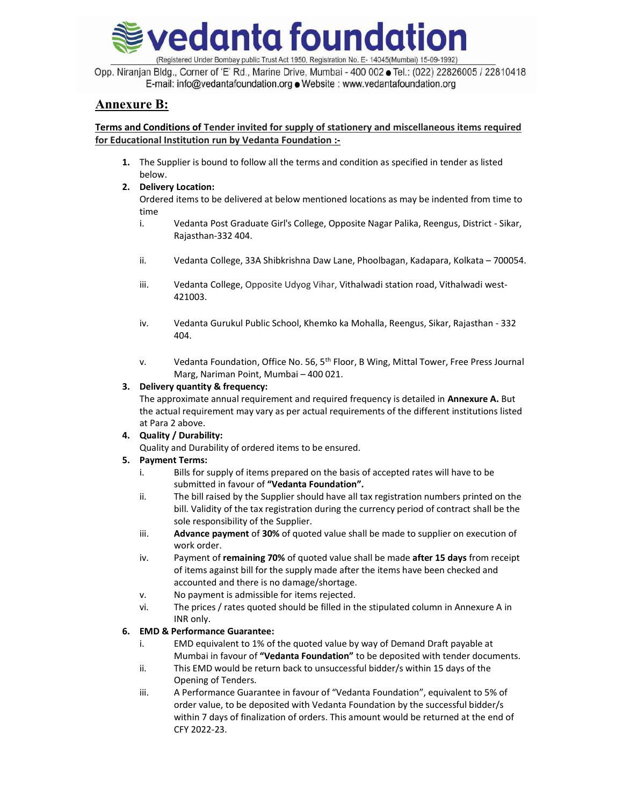

Opp. Niranjan Bldg., Corner of 'E' Rd., Marine Drive, Mumbai - 400 002 Tel.: (022) 22826005 / 22810418 E-mail: info@vedantafoundation.org . Website : www.vedantafoundation.org

## Annexure B:

#### Terms and Conditions of Tender invited for supply of stationery and miscellaneous items required for Educational Institution run by Vedanta Foundation :-

1. The Supplier is bound to follow all the terms and condition as specified in tender as listed below.

#### 2. Delivery Location:

Ordered items to be delivered at below mentioned locations as may be indented from time to time

- i. Vedanta Post Graduate Girl's College, Opposite Nagar Palika, Reengus, District Sikar, Rajasthan-332 404.
- ii. Vedanta College, 33A Shibkrishna Daw Lane, Phoolbagan, Kadapara, Kolkata 700054.
- iii. Vedanta College, Opposite Udyog Vihar, Vithalwadi station road, Vithalwadi west-421003.
- iv. Vedanta Gurukul Public School, Khemko ka Mohalla, Reengus, Sikar, Rajasthan 332 404.
- v. Vedanta Foundation, Office No. 56, 5<sup>th</sup> Floor, B Wing, Mittal Tower, Free Press Journal Marg, Nariman Point, Mumbai – 400 021.

#### 3. Delivery quantity & frequency:

The approximate annual requirement and required frequency is detailed in **Annexure A.** But the actual requirement may vary as per actual requirements of the different institutions listed at Para 2 above.

### 4. Quality / Durability:

Quality and Durability of ordered items to be ensured.

#### 5. Payment Terms:

- i. Bills for supply of items prepared on the basis of accepted rates will have to be submitted in favour of "Vedanta Foundation".
- ii. The bill raised by the Supplier should have all tax registration numbers printed on the bill. Validity of the tax registration during the currency period of contract shall be the sole responsibility of the Supplier.
- iii. Advance payment of 30% of quoted value shall be made to supplier on execution of work order.
- iv. Payment of remaining 70% of quoted value shall be made after 15 days from receipt of items against bill for the supply made after the items have been checked and accounted and there is no damage/shortage.
- v. No payment is admissible for items rejected.
- vi. The prices / rates quoted should be filled in the stipulated column in Annexure A in INR only.

#### 6. EMD & Performance Guarantee:

- i. EMD equivalent to 1% of the quoted value by way of Demand Draft payable at Mumbai in favour of "Vedanta Foundation" to be deposited with tender documents.
- ii. This EMD would be return back to unsuccessful bidder/s within 15 days of the Opening of Tenders.
- iii. A Performance Guarantee in favour of "Vedanta Foundation", equivalent to 5% of order value, to be deposited with Vedanta Foundation by the successful bidder/s within 7 days of finalization of orders. This amount would be returned at the end of CFY 2022-23.